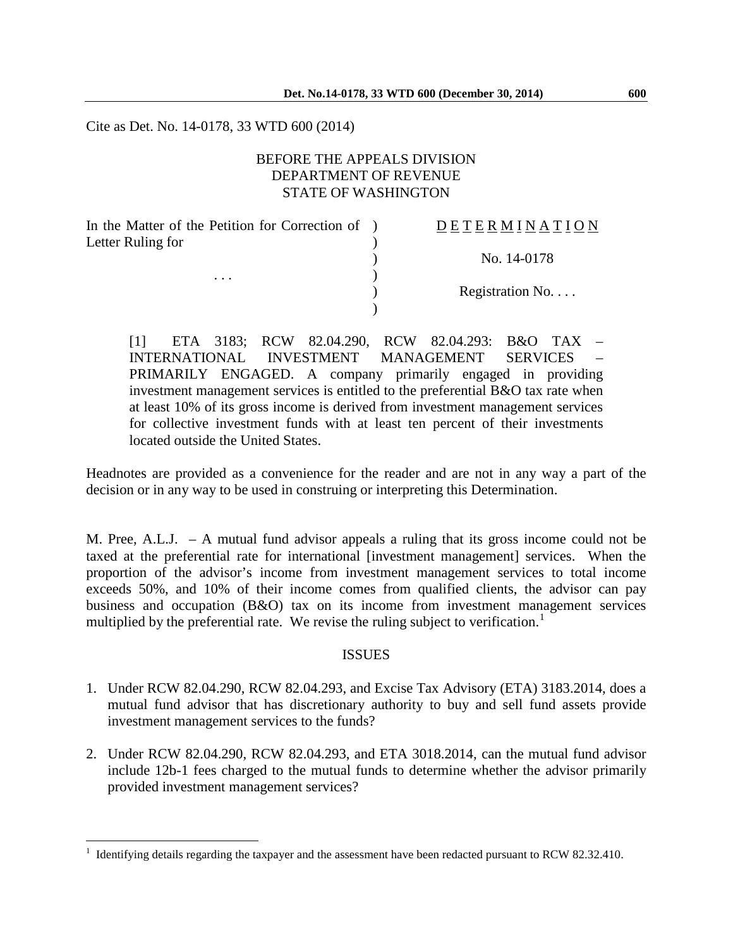Cite as Det. No. 14-0178, 33 WTD 600 (2014)

## BEFORE THE APPEALS DIVISION DEPARTMENT OF REVENUE STATE OF WASHINGTON

In the Matter of the Petition for Correction of ) Letter Ruling for )

 $\overline{a}$ 

. . .  $\qquad\qquad\qquad\qquad$ 

#### D E T E R M I N A T I O N

) No. 14-0178

) Registration No. . . .

[1] ETA 3183; RCW 82.04.290, RCW 82.04.293: B&O TAX – INTERNATIONAL INVESTMENT MANAGEMENT SERVICES – PRIMARILY ENGAGED. A company primarily engaged in providing investment management services is entitled to the preferential B&O tax rate when at least 10% of its gross income is derived from investment management services for collective investment funds with at least ten percent of their investments located outside the United States.

)

Headnotes are provided as a convenience for the reader and are not in any way a part of the decision or in any way to be used in construing or interpreting this Determination.

M. Pree, A.L.J. – A mutual fund advisor appeals a ruling that its gross income could not be taxed at the preferential rate for international [investment management] services. When the proportion of the advisor's income from investment management services to total income exceeds 50%, and 10% of their income comes from qualified clients, the advisor can pay business and occupation (B&O) tax on its income from investment management services multiplied by the preferential rate. We revise the ruling subject to verification.<sup>[1](#page-0-0)</sup>

#### ISSUES

- 1. Under RCW 82.04.290, RCW 82.04.293, and Excise Tax Advisory (ETA) 3183.2014, does a mutual fund advisor that has discretionary authority to buy and sell fund assets provide investment management services to the funds?
- 2. Under RCW 82.04.290, RCW 82.04.293, and ETA 3018.2014, can the mutual fund advisor include 12b-1 fees charged to the mutual funds to determine whether the advisor primarily provided investment management services?

<span id="page-0-0"></span><sup>1</sup> Identifying details regarding the taxpayer and the assessment have been redacted pursuant to RCW 82.32.410.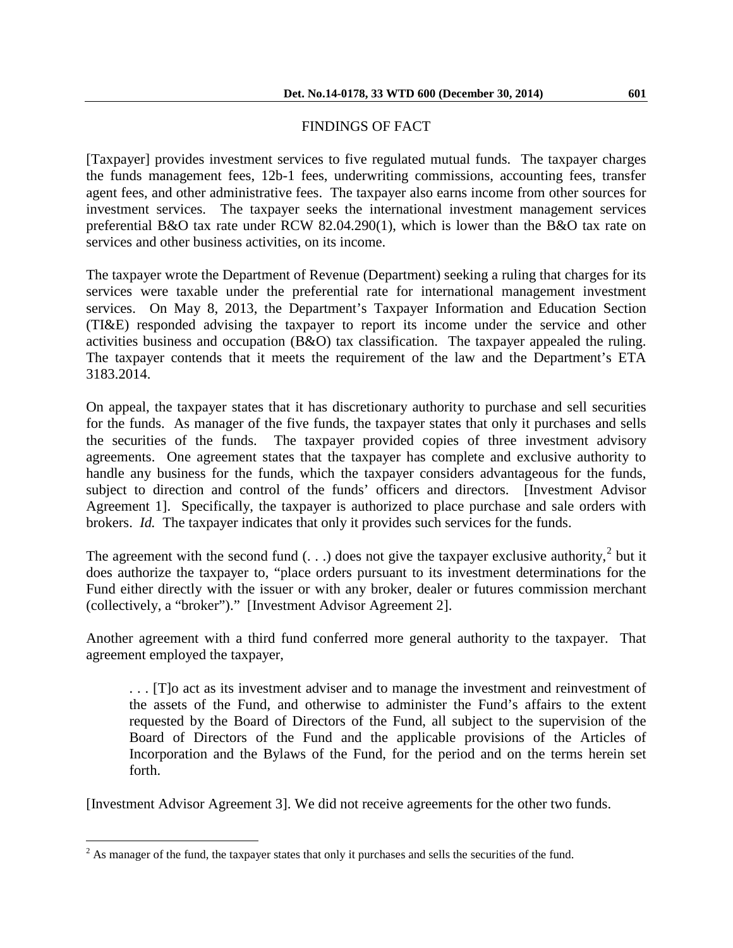# FINDINGS OF FACT

[Taxpayer] provides investment services to five regulated mutual funds. The taxpayer charges the funds management fees, 12b-1 fees, underwriting commissions, accounting fees, transfer agent fees, and other administrative fees. The taxpayer also earns income from other sources for investment services. The taxpayer seeks the international investment management services preferential B&O tax rate under RCW 82.04.290(1), which is lower than the B&O tax rate on services and other business activities, on its income.

The taxpayer wrote the Department of Revenue (Department) seeking a ruling that charges for its services were taxable under the preferential rate for international management investment services. On May 8, 2013, the Department's Taxpayer Information and Education Section (TI&E) responded advising the taxpayer to report its income under the service and other activities business and occupation (B&O) tax classification. The taxpayer appealed the ruling. The taxpayer contends that it meets the requirement of the law and the Department's ETA 3183.2014.

On appeal, the taxpayer states that it has discretionary authority to purchase and sell securities for the funds. As manager of the five funds, the taxpayer states that only it purchases and sells the securities of the funds. The taxpayer provided copies of three investment advisory agreements. One agreement states that the taxpayer has complete and exclusive authority to handle any business for the funds, which the taxpayer considers advantageous for the funds, subject to direction and control of the funds' officers and directors. [Investment Advisor Agreement 1]. Specifically, the taxpayer is authorized to place purchase and sale orders with brokers. *Id.* The taxpayer indicates that only it provides such services for the funds.

The agreement with the second fund  $( \ldots )$  does not give the taxpayer exclusive authority,<sup>[2](#page-1-0)</sup> but it does authorize the taxpayer to, "place orders pursuant to its investment determinations for the Fund either directly with the issuer or with any broker, dealer or futures commission merchant (collectively, a "broker")." [Investment Advisor Agreement 2].

Another agreement with a third fund conferred more general authority to the taxpayer. That agreement employed the taxpayer,

. . . [T]o act as its investment adviser and to manage the investment and reinvestment of the assets of the Fund, and otherwise to administer the Fund's affairs to the extent requested by the Board of Directors of the Fund, all subject to the supervision of the Board of Directors of the Fund and the applicable provisions of the Articles of Incorporation and the Bylaws of the Fund, for the period and on the terms herein set forth.

[Investment Advisor Agreement 3]. We did not receive agreements for the other two funds.

<span id="page-1-0"></span> $2^{2}$  As manager of the fund, the taxpayer states that only it purchases and sells the securities of the fund.  $\overline{a}$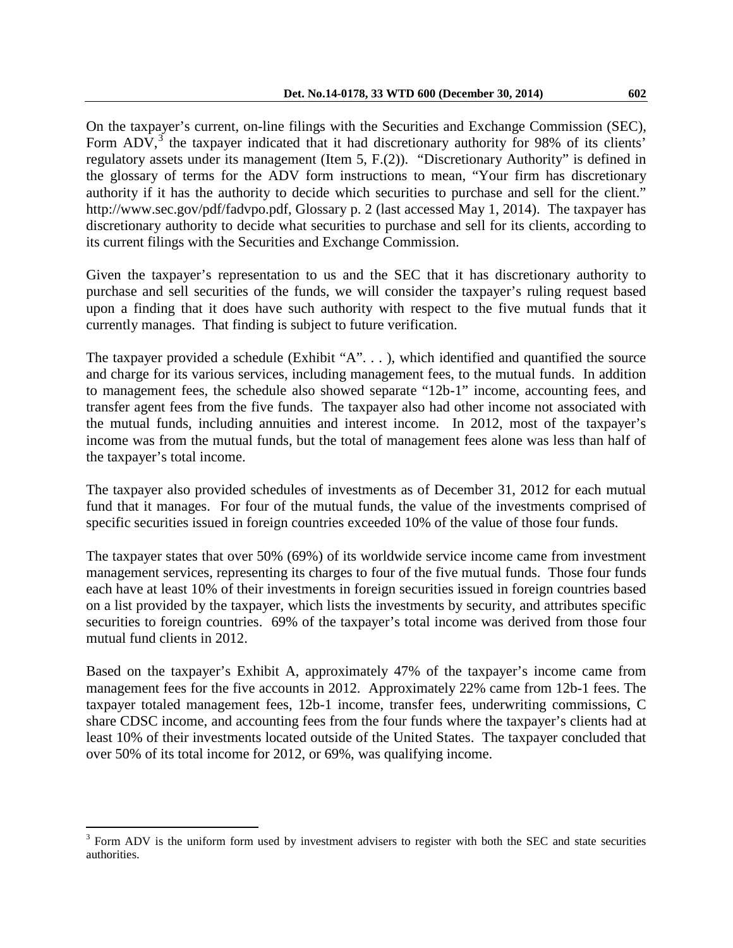On the taxpayer's current, on-line filings with the Securities and Exchange Commission (SEC), Form  $ADV$ ,<sup>[3](#page-2-0)</sup> the taxpayer indicated that it had discretionary authority for 98% of its clients' regulatory assets under its management (Item 5, F.(2)). "Discretionary Authority" is defined in the glossary of terms for the ADV form instructions to mean, "Your firm has discretionary authority if it has the authority to decide which securities to purchase and sell for the client."

http://www.sec.gov/pdf/fadvpo.pdf, Glossary p. 2 (last accessed May 1, 2014). The taxpayer has discretionary authority to decide what securities to purchase and sell for its clients, according to its current filings with the Securities and Exchange Commission.

Given the taxpayer's representation to us and the SEC that it has discretionary authority to purchase and sell securities of the funds, we will consider the taxpayer's ruling request based upon a finding that it does have such authority with respect to the five mutual funds that it currently manages. That finding is subject to future verification.

The taxpayer provided a schedule (Exhibit "A". . . ), which identified and quantified the source and charge for its various services, including management fees, to the mutual funds. In addition to management fees, the schedule also showed separate "12b-1" income, accounting fees, and transfer agent fees from the five funds. The taxpayer also had other income not associated with the mutual funds, including annuities and interest income. In 2012, most of the taxpayer's income was from the mutual funds, but the total of management fees alone was less than half of the taxpayer's total income.

The taxpayer also provided schedules of investments as of December 31, 2012 for each mutual fund that it manages. For four of the mutual funds, the value of the investments comprised of specific securities issued in foreign countries exceeded 10% of the value of those four funds.

The taxpayer states that over 50% (69%) of its worldwide service income came from investment management services, representing its charges to four of the five mutual funds. Those four funds each have at least 10% of their investments in foreign securities issued in foreign countries based on a list provided by the taxpayer, which lists the investments by security, and attributes specific securities to foreign countries. 69% of the taxpayer's total income was derived from those four mutual fund clients in 2012.

Based on the taxpayer's Exhibit A, approximately 47% of the taxpayer's income came from management fees for the five accounts in 2012. Approximately 22% came from 12b-1 fees. The taxpayer totaled management fees, 12b-1 income, transfer fees, underwriting commissions, C share CDSC income, and accounting fees from the four funds where the taxpayer's clients had at least 10% of their investments located outside of the United States. The taxpayer concluded that over 50% of its total income for 2012, or 69%, was qualifying income.

 $\overline{a}$ 

<span id="page-2-0"></span> $3$  Form ADV is the uniform form used by investment advisers to register with both the SEC and state securities authorities.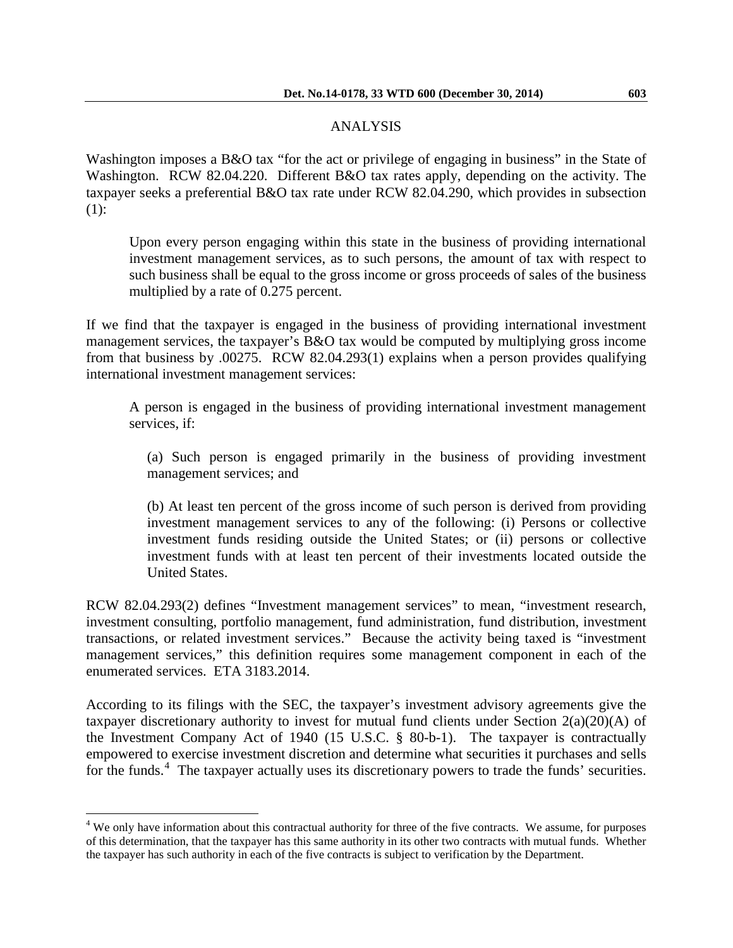## ANALYSIS

Washington imposes a B&O tax "for the act or privilege of engaging in business" in the State of Washington. RCW 82.04.220. Different B&O tax rates apply, depending on the activity. The taxpayer seeks a preferential B&O tax rate under RCW 82.04.290, which provides in subsection (1):

Upon every person engaging within this state in the business of providing international investment management services, as to such persons, the amount of tax with respect to such business shall be equal to the gross income or gross proceeds of sales of the business multiplied by a rate of 0.275 percent.

If we find that the taxpayer is engaged in the business of providing international investment management services, the taxpayer's B&O tax would be computed by multiplying gross income from that business by .00275. RCW 82.04.293(1) explains when a person provides qualifying international investment management services:

A person is engaged in the business of providing international investment management services, if:

(a) Such person is engaged primarily in the business of providing investment management services; and

(b) At least ten percent of the gross income of such person is derived from providing investment management services to any of the following: (i) Persons or collective investment funds residing outside the United States; or (ii) persons or collective investment funds with at least ten percent of their investments located outside the United States.

RCW 82.04.293(2) defines "Investment management services" to mean, "investment research, investment consulting, portfolio management, fund administration, fund distribution, investment transactions, or related investment services." Because the activity being taxed is "investment management services," this definition requires some management component in each of the enumerated services. ETA 3183.2014.

According to its filings with the SEC, the taxpayer's investment advisory agreements give the taxpayer discretionary authority to invest for mutual fund clients under Section  $2(a)(20)(A)$  of the Investment Company Act of 1940 (15 U.S.C. § 80-b-1). The taxpayer is contractually empowered to exercise investment discretion and determine what securities it purchases and sells for the funds.<sup>[4](#page-3-0)</sup> The taxpayer actually uses its discretionary powers to trade the funds' securities.

<span id="page-3-0"></span><sup>&</sup>lt;sup>4</sup> We only have information about this contractual authority for three of the five contracts. We assume, for purposes of this determination, that the taxpayer has this same authority in its other two contracts with mutual funds. Whether the taxpayer has such authority in each of the five contracts is subject to verification by the Department.  $\overline{a}$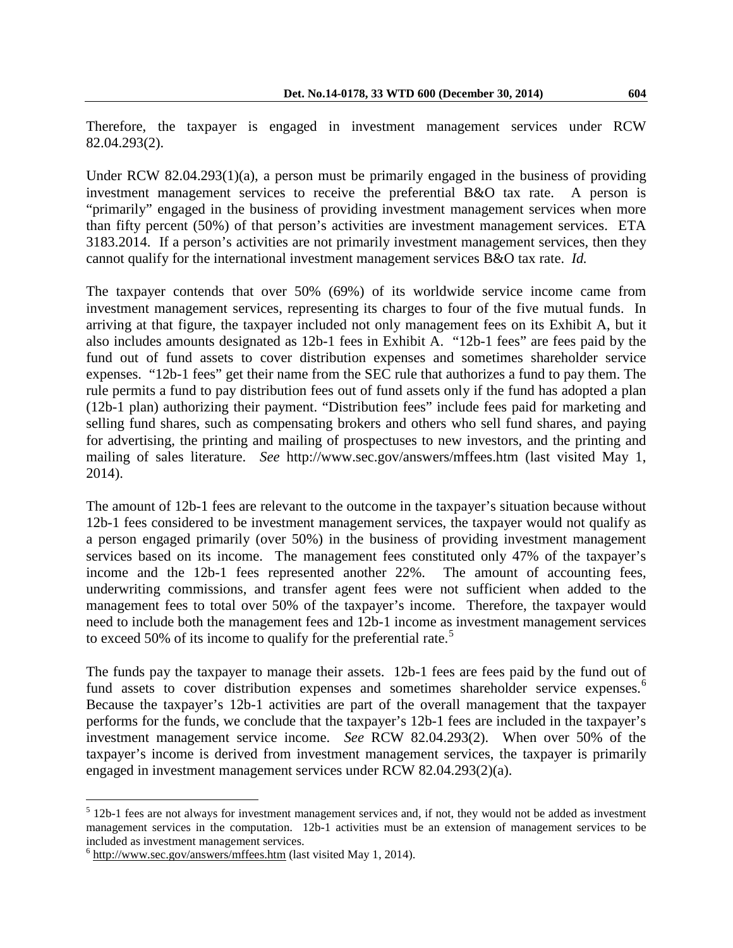Therefore, the taxpayer is engaged in investment management services under RCW 82.04.293(2).

Under RCW 82.04.293(1)(a), a person must be primarily engaged in the business of providing investment management services to receive the preferential B&O tax rate. A person is "primarily" engaged in the business of providing investment management services when more than fifty percent (50%) of that person's activities are investment management services. ETA 3183.2014. If a person's activities are not primarily investment management services, then they cannot qualify for the international investment management services B&O tax rate. *Id.*

The taxpayer contends that over 50% (69%) of its worldwide service income came from investment management services, representing its charges to four of the five mutual funds. In arriving at that figure, the taxpayer included not only management fees on its Exhibit A, but it also includes amounts designated as 12b-1 fees in Exhibit A. "12b-1 fees" are fees paid by the fund out of fund assets to cover distribution expenses and sometimes shareholder service expenses. "12b-1 fees" get their name from the SEC rule that authorizes a fund to pay them. The rule permits a fund to pay distribution fees out of fund assets only if the fund has adopted a plan (12b-1 plan) authorizing their payment. "Distribution fees" include fees paid for marketing and selling fund shares, such as compensating brokers and others who sell fund shares, and paying for advertising, the printing and mailing of prospectuses to new investors, and the printing and mailing of sales literature. *See* http://www.sec.gov/answers/mffees.htm (last visited May 1, 2014).

The amount of 12b-1 fees are relevant to the outcome in the taxpayer's situation because without 12b-1 fees considered to be investment management services, the taxpayer would not qualify as a person engaged primarily (over 50%) in the business of providing investment management services based on its income. The management fees constituted only 47% of the taxpayer's income and the 12b-1 fees represented another 22%. The amount of accounting fees, underwriting commissions, and transfer agent fees were not sufficient when added to the management fees to total over 50% of the taxpayer's income. Therefore, the taxpayer would need to include both the management fees and 12b-1 income as investment management services to exceed [5](#page-4-0)0% of its income to qualify for the preferential rate.<sup>5</sup>

The funds pay the taxpayer to manage their assets. 12b-1 fees are fees paid by the fund out of fund assets to cover distribution expenses and sometimes shareholder service expenses.<sup>[6](#page-4-1)</sup> Because the taxpayer's 12b-1 activities are part of the overall management that the taxpayer performs for the funds, we conclude that the taxpayer's 12b-1 fees are included in the taxpayer's investment management service income. *See* RCW 82.04.293(2). When over 50% of the taxpayer's income is derived from investment management services, the taxpayer is primarily engaged in investment management services under RCW 82.04.293(2)(a).

 $\overline{a}$ 

<span id="page-4-0"></span> $5$  12b-1 fees are not always for investment management services and, if not, they would not be added as investment management services in the computation. 12b-1 activities must be an extension of management services to be included as investment management services.

<span id="page-4-1"></span> $6$  http://www.sec.gov/answers/mffees.htm (last visited May 1, 2014).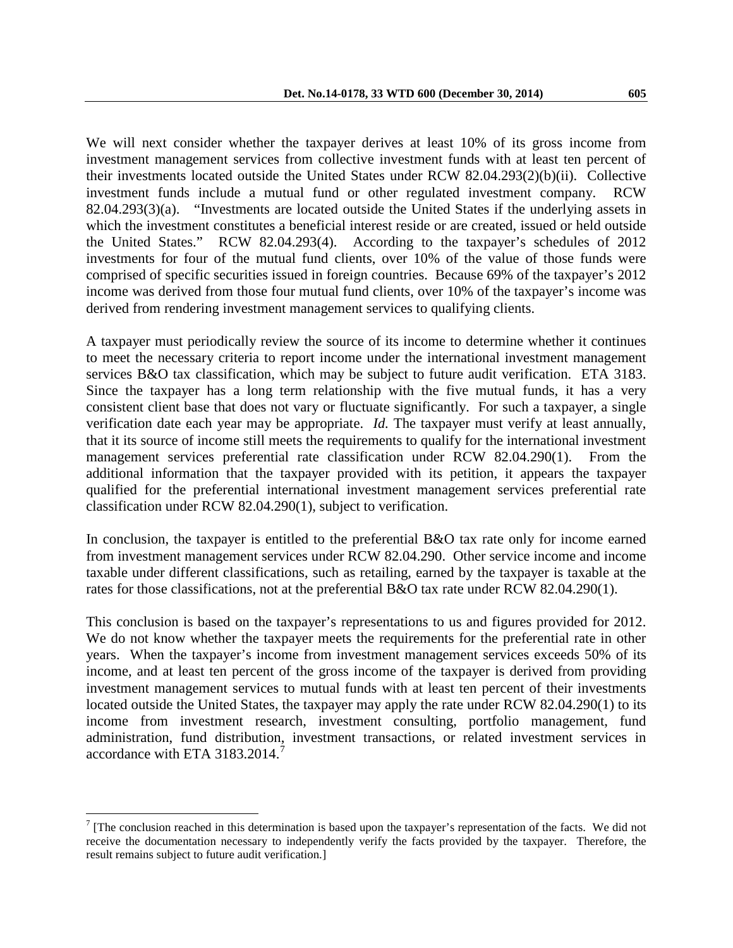We will next consider whether the taxpayer derives at least 10% of its gross income from investment management services from collective investment funds with at least ten percent of their investments located outside the United States under RCW 82.04.293(2)(b)(ii). Collective investment funds include a mutual fund or other regulated investment company. RCW 82.04.293(3)(a). "Investments are located outside the United States if the underlying assets in which the investment constitutes a beneficial interest reside or are created, issued or held outside the United States." RCW 82.04.293(4). According to the taxpayer's schedules of 2012 investments for four of the mutual fund clients, over 10% of the value of those funds were comprised of specific securities issued in foreign countries. Because 69% of the taxpayer's 2012 income was derived from those four mutual fund clients, over 10% of the taxpayer's income was derived from rendering investment management services to qualifying clients.

A taxpayer must periodically review the source of its income to determine whether it continues to meet the necessary criteria to report income under the international investment management services B&O tax classification, which may be subject to future audit verification. ETA 3183. Since the taxpayer has a long term relationship with the five mutual funds, it has a very consistent client base that does not vary or fluctuate significantly. For such a taxpayer, a single verification date each year may be appropriate. *Id.* The taxpayer must verify at least annually, that it its source of income still meets the requirements to qualify for the international investment management services preferential rate classification under RCW 82.04.290(1). From the additional information that the taxpayer provided with its petition, it appears the taxpayer qualified for the preferential international investment management services preferential rate classification under RCW 82.04.290(1), subject to verification.

In conclusion, the taxpayer is entitled to the preferential B&O tax rate only for income earned from investment management services under RCW 82.04.290. Other service income and income taxable under different classifications, such as retailing, earned by the taxpayer is taxable at the rates for those classifications, not at the preferential B&O tax rate under RCW 82.04.290(1).

This conclusion is based on the taxpayer's representations to us and figures provided for 2012. We do not know whether the taxpayer meets the requirements for the preferential rate in other years. When the taxpayer's income from investment management services exceeds 50% of its income, and at least ten percent of the gross income of the taxpayer is derived from providing investment management services to mutual funds with at least ten percent of their investments located outside the United States, the taxpayer may apply the rate under RCW 82.04.290(1) to its income from investment research, investment consulting, portfolio management, fund administration, fund distribution, investment transactions, or related investment services in accordance with ETA 3183.2014.<sup>[7](#page-5-0)</sup>

 $\overline{a}$ 

<span id="page-5-0"></span> $7$  [The conclusion reached in this determination is based upon the taxpayer's representation of the facts. We did not receive the documentation necessary to independently verify the facts provided by the taxpayer. Therefore, the result remains subject to future audit verification.]